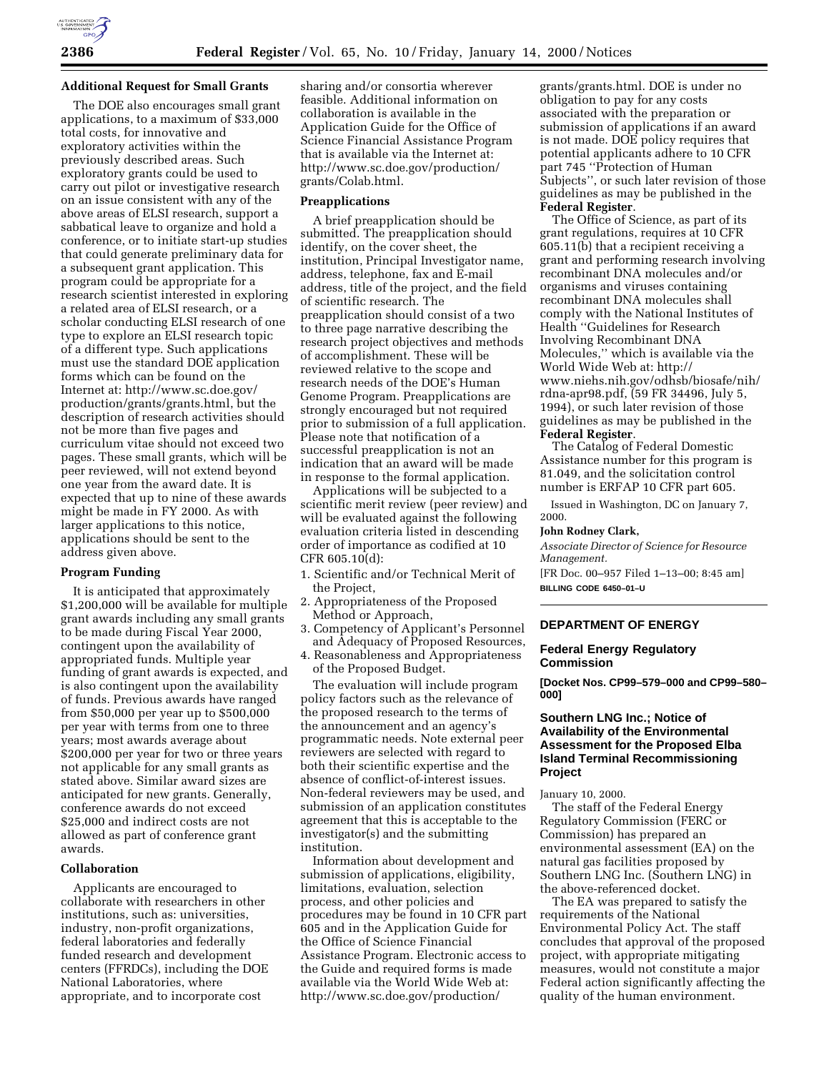

## **Additional Request for Small Grants**

The DOE also encourages small grant applications, to a maximum of \$33,000 total costs, for innovative and exploratory activities within the previously described areas. Such exploratory grants could be used to carry out pilot or investigative research on an issue consistent with any of the above areas of ELSI research, support a sabbatical leave to organize and hold a conference, or to initiate start-up studies that could generate preliminary data for a subsequent grant application. This program could be appropriate for a research scientist interested in exploring a related area of ELSI research, or a scholar conducting ELSI research of one type to explore an ELSI research topic of a different type. Such applications must use the standard DOE application forms which can be found on the Internet at: http://www.sc.doe.gov/ production/grants/grants.html, but the description of research activities should not be more than five pages and curriculum vitae should not exceed two pages. These small grants, which will be peer reviewed, will not extend beyond one year from the award date. It is expected that up to nine of these awards might be made in FY 2000. As with larger applications to this notice, applications should be sent to the address given above.

## **Program Funding**

It is anticipated that approximately \$1,200,000 will be available for multiple grant awards including any small grants to be made during Fiscal Year 2000, contingent upon the availability of appropriated funds. Multiple year funding of grant awards is expected, and is also contingent upon the availability of funds. Previous awards have ranged from \$50,000 per year up to \$500,000 per year with terms from one to three years; most awards average about \$200,000 per year for two or three years not applicable for any small grants as stated above. Similar award sizes are anticipated for new grants. Generally, conference awards do not exceed \$25,000 and indirect costs are not allowed as part of conference grant awards.

# **Collaboration**

Applicants are encouraged to collaborate with researchers in other institutions, such as: universities, industry, non-profit organizations, federal laboratories and federally funded research and development centers (FFRDCs), including the DOE National Laboratories, where appropriate, and to incorporate cost

sharing and/or consortia wherever feasible. Additional information on collaboration is available in the Application Guide for the Office of Science Financial Assistance Program that is available via the Internet at: http://www.sc.doe.gov/production/ grants/Colab.html.

#### **Preapplications**

A brief preapplication should be submitted. The preapplication should identify, on the cover sheet, the institution, Principal Investigator name, address, telephone, fax and E-mail address, title of the project, and the field of scientific research. The preapplication should consist of a two to three page narrative describing the research project objectives and methods of accomplishment. These will be reviewed relative to the scope and research needs of the DOE's Human Genome Program. Preapplications are strongly encouraged but not required prior to submission of a full application. Please note that notification of a successful preapplication is not an indication that an award will be made in response to the formal application.

Applications will be subjected to a scientific merit review (peer review) and will be evaluated against the following evaluation criteria listed in descending order of importance as codified at 10 CFR 605.10(d):

- 1. Scientific and/or Technical Merit of the Project,
- 2. Appropriateness of the Proposed Method or Approach,
- 3. Competency of Applicant's Personnel and Adequacy of Proposed Resources,
- 4. Reasonableness and Appropriateness of the Proposed Budget.

The evaluation will include program policy factors such as the relevance of the proposed research to the terms of the announcement and an agency's programmatic needs. Note external peer reviewers are selected with regard to both their scientific expertise and the absence of conflict-of-interest issues. Non-federal reviewers may be used, and submission of an application constitutes agreement that this is acceptable to the investigator(s) and the submitting institution.

Information about development and submission of applications, eligibility, limitations, evaluation, selection process, and other policies and procedures may be found in 10 CFR part 605 and in the Application Guide for the Office of Science Financial Assistance Program. Electronic access to the Guide and required forms is made available via the World Wide Web at: http://www.sc.doe.gov/production/

grants/grants.html. DOE is under no obligation to pay for any costs associated with the preparation or submission of applications if an award is not made. DOE policy requires that potential applicants adhere to 10 CFR part 745 ''Protection of Human Subjects'', or such later revision of those guidelines as may be published in the **Federal Register**.

The Office of Science, as part of its grant regulations, requires at 10 CFR 605.11(b) that a recipient receiving a grant and performing research involving recombinant DNA molecules and/or organisms and viruses containing recombinant DNA molecules shall comply with the National Institutes of Health ''Guidelines for Research Involving Recombinant DNA Molecules,'' which is available via the World Wide Web at: http:// www.niehs.nih.gov/odhsb/biosafe/nih/ rdna-apr98.pdf, (59 FR 34496, July 5, 1994), or such later revision of those guidelines as may be published in the **Federal Register**.

The Catalog of Federal Domestic Assistance number for this program is 81.049, and the solicitation control number is ERFAP 10 CFR part 605.

Issued in Washington, DC on January 7, 2000.

#### **John Rodney Clark,**

*Associate Director of Science for Resource Management.*

[FR Doc. 00–957 Filed 1–13–00; 8:45 am] **BILLING CODE 6450–01–U**

# **DEPARTMENT OF ENERGY**

## **Federal Energy Regulatory Commission**

**[Docket Nos. CP99–579–000 and CP99–580– 000]**

# **Southern LNG Inc.; Notice of Availability of the Environmental Assessment for the Proposed Elba Island Terminal Recommissioning Project**

January 10, 2000.

The staff of the Federal Energy Regulatory Commission (FERC or Commission) has prepared an environmental assessment (EA) on the natural gas facilities proposed by Southern LNG Inc. (Southern LNG) in the above-referenced docket.

The EA was prepared to satisfy the requirements of the National Environmental Policy Act. The staff concludes that approval of the proposed project, with appropriate mitigating measures, would not constitute a major Federal action significantly affecting the quality of the human environment.